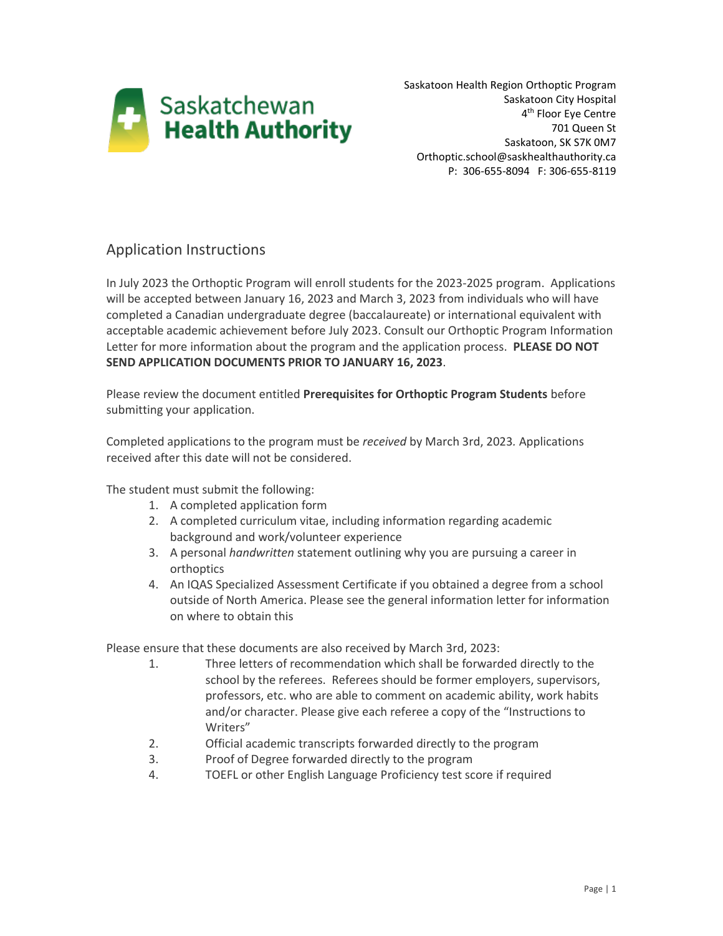

Saskatoon Health Region Orthoptic Program Saskatoon City Hospital 4<sup>th</sup> Floor Eye Centre 701 Queen St Saskatoon, SK S7K 0M7 Orthoptic.school@saskhealthauthority.ca P: 306-655-8094 F: 306-655-8119

## Application Instructions

In July 2023 the Orthoptic Program will enroll students for the 2023-2025 program. Applications will be accepted between January 16, 2023 and March 3, 2023 from individuals who will have completed a Canadian undergraduate degree (baccalaureate) or international equivalent with acceptable academic achievement before July 2023. Consult our Orthoptic Program Information Letter for more information about the program and the application process. **PLEASE DO NOT SEND APPLICATION DOCUMENTS PRIOR TO JANUARY 16, 2023**.

Please review the document entitled **Prerequisites for Orthoptic Program Students** before submitting your application.

Completed applications to the program must be *received* by March 3rd, 2023*.* Applications received after this date will not be considered.

The student must submit the following:

- 1. A completed application form
- 2. A completed curriculum vitae, including information regarding academic background and work/volunteer experience
- 3. A personal *handwritten* statement outlining why you are pursuing a career in orthoptics
- 4. An IQAS Specialized Assessment Certificate if you obtained a degree from a school outside of North America. Please see the general information letter for information on where to obtain this

Please ensure that these documents are also received by March 3rd, 2023:

- 1. Three letters of recommendation which shall be forwarded directly to the school by the referees. Referees should be former employers, supervisors, professors, etc. who are able to comment on academic ability, work habits and/or character. Please give each referee a copy of the "Instructions to Writers"
- 2. Official academic transcripts forwarded directly to the program
- 3. Proof of Degree forwarded directly to the program
- 4. TOEFL or other English Language Proficiency test score if required